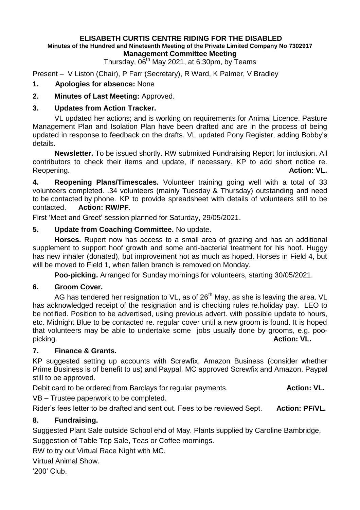#### **ELISABETH CURTIS CENTRE RIDING FOR THE DISABLED Minutes of the Hundred and Nineteenth Meeting of the Private Limited Company No 7302917 Management Committee Meeting**

Thursday,  $06<sup>th</sup>$  May 2021, at 6.30pm, by Teams

Present – V Liston (Chair), P Farr (Secretary), R Ward, K Palmer, V Bradley

### **1. Apologies for absence:** None

### **2. Minutes of Last Meeting:** Approved.

### **3. Updates from Action Tracker.**

VL updated her actions; and is working on requirements for Animal Licence. Pasture Management Plan and Isolation Plan have been drafted and are in the process of being updated in response to feedback on the drafts. VL updated Pony Register, adding Bobby's details.

**Newsletter.** To be issued shortly. RW submitted Fundraising Report for inclusion. All contributors to check their items and update, if necessary. KP to add short notice re. Reopening. **Action: VL.**

**4. Reopening Plans/Timescales.** Volunteer training going well with a total of 33 volunteers completed. .34 volunteers (mainly Tuesday & Thursday) outstanding and need to be contacted by phone. KP to provide spreadsheet with details of volunteers still to be contacted. **Action: RW/PF**.

First 'Meet and Greet' session planned for Saturday, 29/05/2021.

# **5. Update from Coaching Committee.** No update.

**Horses.** Rupert now has access to a small area of grazing and has an additional supplement to support hoof growth and some anti-bacterial treatment for his hoof. Huggy has new inhaler (donated), but improvement not as much as hoped. Horses in Field 4, but will be moved to Field 1, when fallen branch is removed on Monday.

**Poo-picking.** Arranged for Sunday mornings for volunteers, starting 30/05/2021.

# **6. Groom Cover.**

AG has tendered her resignation to VL, as of  $26<sup>th</sup>$  May, as she is leaving the area. VL has acknowledged receipt of the resignation and is checking rules re.holiday pay. LEO to be notified. Position to be advertised, using previous advert. with possible update to hours, etc. Midnight Blue to be contacted re. regular cover until a new groom is found. It is hoped that volunteers may be able to undertake some jobs usually done by grooms, e.g. poopicking. **Action: VL.**

### **7. Finance & Grants.**

KP suggested setting up accounts with Screwfix, Amazon Business (consider whether Prime Business is of benefit to us) and Paypal. MC approved Screwfix and Amazon. Paypal still to be approved.

Debit card to be ordered from Barclays for regular payments. **Action: VL.** 

VB – Trustee paperwork to be completed.

Rider's fees letter to be drafted and sent out. Fees to be reviewed Sept. **Action: PF/VL.**

# **8. Fundraising.**

Suggested Plant Sale outside School end of May. Plants supplied by Caroline Bambridge,

Suggestion of Table Top Sale, Teas or Coffee mornings.

RW to try out Virtual Race Night with MC.

Virtual Animal Show.

'200' Club.